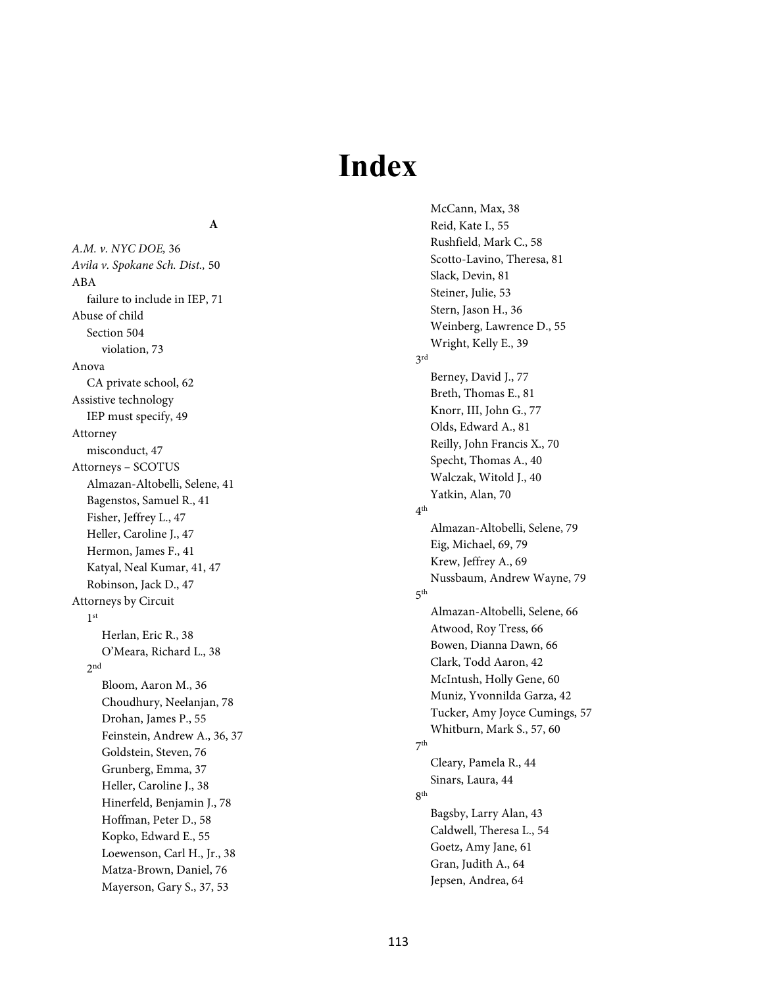# **Index**

#### **A**

*A.M. v. NYC DOE,* 36 *Avila v. Spokane Sch. Dist.,* 50 ABA failure to include in IEP, 71 Abuse of child Section 504 violation, 73 Anova CA private school, 62 Assistive technology IEP must specify, 49 Attorney misconduct, 47 Attorneys – SCOTUS Almazan-Altobelli, Selene, 41 Bagenstos, Samuel R., 41 Fisher, Jeffrey L., 47 Heller, Caroline J., 47 Hermon, James F., 41 Katyal, Neal Kumar, 41, 47 Robinson, Jack D., 47 Attorneys by Circuit 1st Herlan, Eric R., 38 O'Meara, Richard L., 38  $2<sub>nd</sub>$ Bloom, Aaron M., 36 Choudhury, Neelanjan, 78 Drohan, James P., 55 Feinstein, Andrew A., 36, 37 Goldstein, Steven, 76 Grunberg, Emma, 37 Heller, Caroline J., 38 Hinerfeld, Benjamin J., 78 Hoffman, Peter D., 58 Kopko, Edward E., 55 Loewenson, Carl H., Jr., 38 Matza-Brown, Daniel, 76 Mayerson, Gary S., 37, 53

McCann, Max, 38 Reid, Kate I., 55 Rushfield, Mark C., 58 Scotto-Lavino, Theresa, 81 Slack, Devin, 81 Steiner, Julie, 53 Stern, Jason H., 36 Weinberg, Lawrence D., 55 Wright, Kelly E., 39 3rd Berney, David J., 77 Breth, Thomas E., 81 Knorr, III, John G., 77 Olds, Edward A., 81 Reilly, John Francis X., 70 Specht, Thomas A., 40 Walczak, Witold J., 40 Yatkin, Alan, 70 4th Almazan-Altobelli, Selene, 79 Eig, Michael, 69, 79 Krew, Jeffrey A., 69 Nussbaum, Andrew Wayne, 79 5th Almazan-Altobelli, Selene, 66 Atwood, Roy Tress, 66 Bowen, Dianna Dawn, 66 Clark, Todd Aaron, 42 McIntush, Holly Gene, 60 Muniz, Yvonnilda Garza, 42 Tucker, Amy Joyce Cumings, 57 Whitburn, Mark S., 57, 60 7th Cleary, Pamela R., 44 Sinars, Laura, 44 8th Bagsby, Larry Alan, 43 Caldwell, Theresa L., 54 Goetz, Amy Jane, 61 Gran, Judith A., 64 Jepsen, Andrea, 64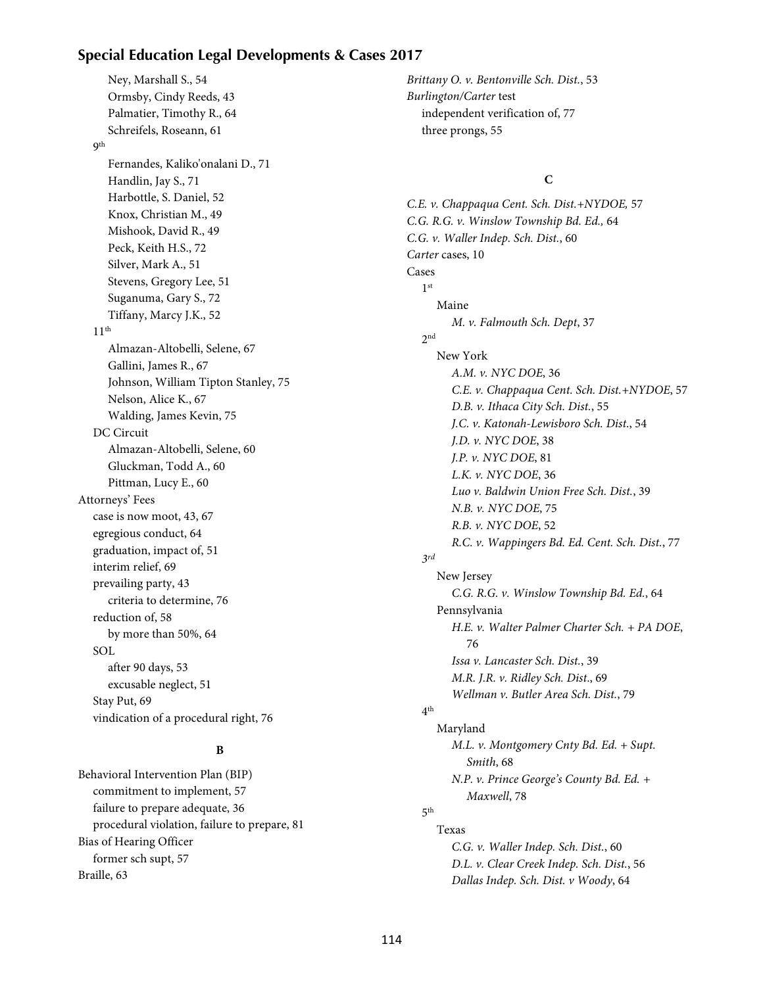# **Special Education Legal Developments & Cases 2017**

Ney, Marshall S., 54 Ormsby, Cindy Reeds, 43 Palmatier, Timothy R., 64 Schreifels, Roseann, 61 **9th** Fernandes, Kaliko'onalani D., 71 Handlin, Jay S., 71 Harbottle, S. Daniel, 52 Knox, Christian M., 49 Mishook, David R., 49 Peck, Keith H.S., 72 Silver, Mark A., 51 Stevens, Gregory Lee, 51 Suganuma, Gary S., 72 Tiffany, Marcy J.K., 52  $11<sup>th</sup>$ Almazan-Altobelli, Selene, 67 Gallini, James R., 67 Johnson, William Tipton Stanley, 75 Nelson, Alice K., 67 Walding, James Kevin, 75 DC Circuit Almazan-Altobelli, Selene, 60 Gluckman, Todd A., 60 Pittman, Lucy E., 60 Attorneys' Fees case is now moot, 43, 67 egregious conduct, 64 graduation, impact of, 51 interim relief, 69 prevailing party, 43 criteria to determine, 76 reduction of, 58 by more than 50%, 64 SOL after 90 days, 53 excusable neglect, 51 Stay Put, 69 vindication of a procedural right, 76

# **B**

Behavioral Intervention Plan (BIP) commitment to implement, 57 failure to prepare adequate, 36 procedural violation, failure to prepare, 81 Bias of Hearing Officer former sch supt, 57 Braille, 63

Brittany O. v. Bentonville Sch. Dist., 53 Burlington/Carter test independent verification of, 77 three prongs, 55

# **C**

*C.E. v. Chappaqua Cent. Sch. Dist.+NYDOE,* 57 *C.G. R.G. v. Winslow Township Bd. Ed.,* 64 *C.G. v. Waller Indep. Sch. Dist.*, 60 *Carter* cases, 10 Cases 1st Maine *M. v. Falmouth Sch. Dept*, 37 2nd New York *A.M. v. NYC DOE*, 36 *C.E. v. Chappaqua Cent. Sch. Dist.+NYDOE*, 57 *D.B. v. Ithaca City Sch. Dist.*, 55 *J.C. v. Katonah-Lewisboro Sch. Dist*., 54 *J.D. v. NYC DOE*, 38 *J.P. v. NYC DOE*, 81 *L.K. v. NYC DOE*, 36 *Luo v. Baldwin Union Free Sch. Dist.*, 39 *N.B. v. NYC DOE*, 75 *R.B. v. NYC DOE*, 52 *R.C. v. Wappingers Bd. Ed. Cent. Sch. Dist.*, 77 *3rd* New Jersey *C.G. R.G. v. Winslow Township Bd. Ed.*, 64 Pennsylvania *H.E. v. Walter Palmer Charter Sch. + PA DOE*, 76 *Issa v. Lancaster Sch. Dist.*, 39 *M.R. J.R. v. Ridley Sch. Dist*., 69 *Wellman v. Butler Area Sch. Dist.*, 79 4th Maryland *M.L. v. Montgomery Cnty Bd. Ed. + Supt. Smith*, 68 *N.P. v. Prince George's County Bd. Ed. + Maxwell*, 78 5th Texas *C.G. v. Waller Indep. Sch. Dist.*, 60 *D.L. v. Clear Creek Indep. Sch. Dist.*, 56

*Dallas Indep. Sch. Dist. v Woody*, 64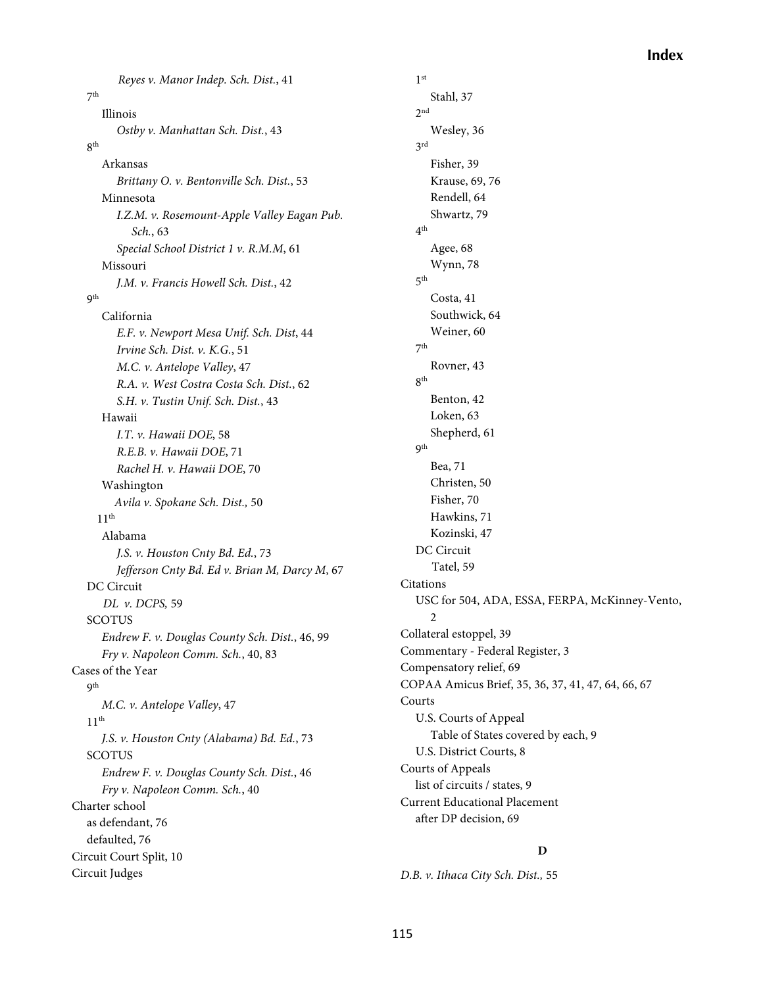*Reyes v. Manor Indep. Sch. Dist.*, 41 7th Illinois *Ostby v. Manhattan Sch. Dist.*, 43 8th Arkansas *Brittany O. v. Bentonville Sch. Dist.*, 53 Minnesota *I.Z.M. v. Rosemount-Apple Valley Eagan Pub. Sch.*, 63 *Special School District 1 v. R.M.M*, 61 Missouri *J.M. v. Francis Howell Sch. Dist.*, 42 **9th** California *E.F. v. Newport Mesa Unif. Sch. Dist*, 44 *Irvine Sch. Dist. v. K.G.*, 51 *M.C. v. Antelope Valley*, 47 *R.A. v. West Costra Costa Sch. Dist.*, 62 *S.H. v. Tustin Unif. Sch. Dist.*, 43 Hawaii *I.T. v. Hawaii DOE*, 58 *R.E.B. v. Hawaii DOE*, 71 *Rachel H. v. Hawaii DOE*, 70 Washington *Avila v. Spokane Sch. Dist.,* 50  $11<sup>th</sup>$ Alabama *J.S. v. Houston Cnty Bd. Ed.*, 73 *Jefferson Cnty Bd. Ed v. Brian M, Darcy M*, 67 DC Circuit *DL v. DCPS,* 59 SCOTUS *Endrew F. v. Douglas County Sch. Dist.*, 46, 99 *Fry v. Napoleon Comm. Sch.*, 40, 83 Cases of the Year 9th *M.C. v. Antelope Valley*, 47  $11<sup>th</sup>$ *J.S. v. Houston Cnty (Alabama) Bd. Ed.*, 73 **SCOTUS** *Endrew F. v. Douglas County Sch. Dist.*, 46 *Fry v. Napoleon Comm. Sch.*, 40 Charter school as defendant, 76 defaulted, 76 Circuit Court Split, 10 Circuit Judges

1st Stahl, 37  $2nd$ Wesley, 36 3rd Fisher, 39 Krause, 69, 76 Rendell, 64 Shwartz, 79  $4<sup>th</sup>$ Agee, 68 Wynn, 78 5th Costa, 41 Southwick, 64 Weiner, 60 7th Rovner, 43 8th Benton, 42 Loken, 63 Shepherd, 61 9th Bea, 71 Christen, 50 Fisher, 70 Hawkins, 71 Kozinski, 47 DC Circuit Tatel, 59 Citations USC for 504, ADA, ESSA, FERPA, McKinney-Vento,  $\mathfrak{D}$ Collateral estoppel, 39 Commentary - Federal Register, 3 Compensatory relief, 69 COPAA Amicus Brief, 35, 36, 37, 41, 47, 64, 66, 67 Courts U.S. Courts of Appeal Table of States covered by each, 9 U.S. District Courts, 8 Courts of Appeals list of circuits / states, 9 Current Educational Placement after DP decision, 69

#### **D**

*D.B. v. Ithaca City Sch. Dist.,* 55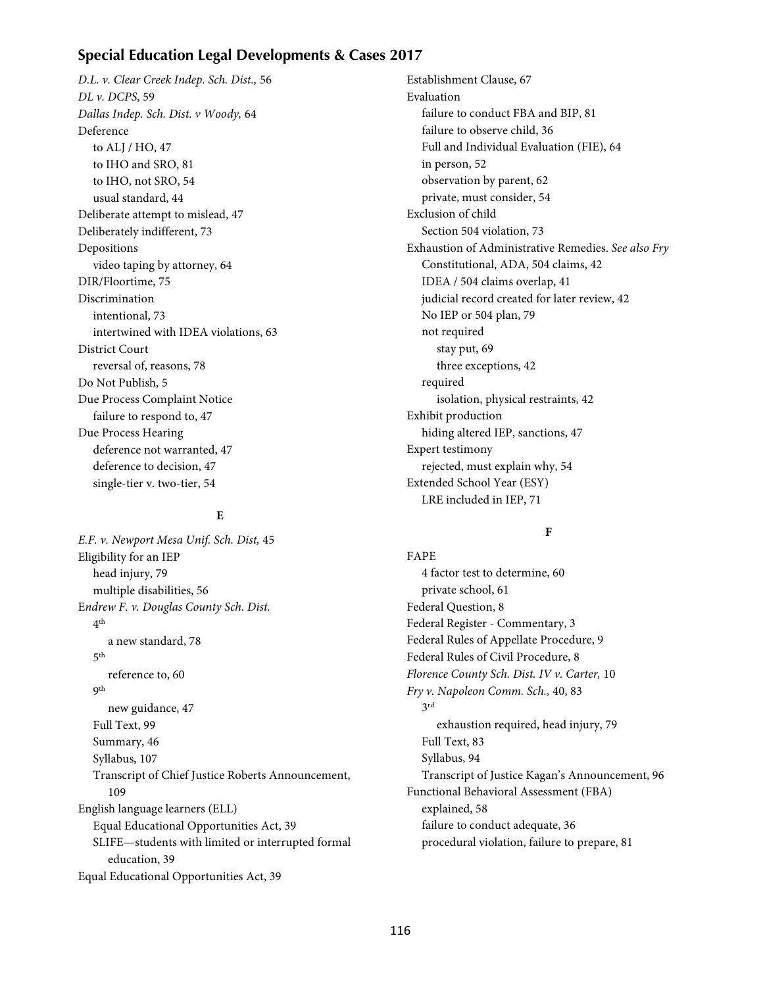# **Special Education Legal Developments & Cases 2017**

*D.L. v. Clear Creek Indep. Sch. Dist.,* 56 *DL v. DCPS*, 59 *Dallas Indep. Sch. Dist. v Woody,* 64 Deference to ALJ / HO, 47 to IHO and SRO, 81 to IHO, not SRO, 54 usual standard, 44 Deliberate attempt to mislead, 47 Deliberately indifferent, 73 Depositions video taping by attorney, 64 DIR/Floortime, 75 Discrimination intentional, 73 intertwined with IDEA violations, 63 District Court reversal of, reasons, 78 Do Not Publish, 5 Due Process Complaint Notice failure to respond to, 47 Due Process Hearing deference not warranted, 47 deference to decision, 47 single-tier v. two-tier, 54

#### **E**

*E.F. v. Newport Mesa Unif. Sch. Dist,* 45 Eligibility for an IEP head injury, 79 multiple disabilities, 56 E*ndrew F. v. Douglas County Sch. Dist.* 4th a new standard, 78  $5<sup>th</sup>$ reference to, 60 9th new guidance, 47 Full Text, 99 Summary, 46 Syllabus, 107 Transcript of Chief Justice Roberts Announcement, 109 English language learners (ELL) Equal Educational Opportunities Act, 39 SLIFE—students with limited or interrupted formal education, 39 Equal Educational Opportunities Act, 39

Establishment Clause, 67 Evaluation failure to conduct FBA and BIP, 81 failure to observe child, 36 Full and Individual Evaluation (FIE), 64 in person, 52 observation by parent, 62 private, must consider, 54 Exclusion of child Section 504 violation, 73 Exhaustion of Administrative Remedies. *See also Fry* Constitutional, ADA, 504 claims, 42 IDEA / 504 claims overlap, 41 judicial record created for later review, 42 No IEP or 504 plan, 79 not required stay put, 69 three exceptions, 42 required isolation, physical restraints, 42 Exhibit production hiding altered IEP, sanctions, 47 Expert testimony rejected, must explain why, 54 Extended School Year (ESY) LRE included in IEP, 71

#### **F**

FAPE 4 factor test to determine, 60 private school, 61 Federal Question, 8 Federal Register - Commentary, 3 Federal Rules of Appellate Procedure, 9 Federal Rules of Civil Procedure, 8 *Florence County Sch. Dist. IV v. Carter,* 10 *Fry v. Napoleon Comm. Sch.,* 40, 83 3rd exhaustion required, head injury, 79 Full Text, 83 Syllabus, 94 Transcript of Justice Kagan's Announcement, 96 Functional Behavioral Assessment (FBA) explained, 58 failure to conduct adequate, 36 procedural violation, failure to prepare, 81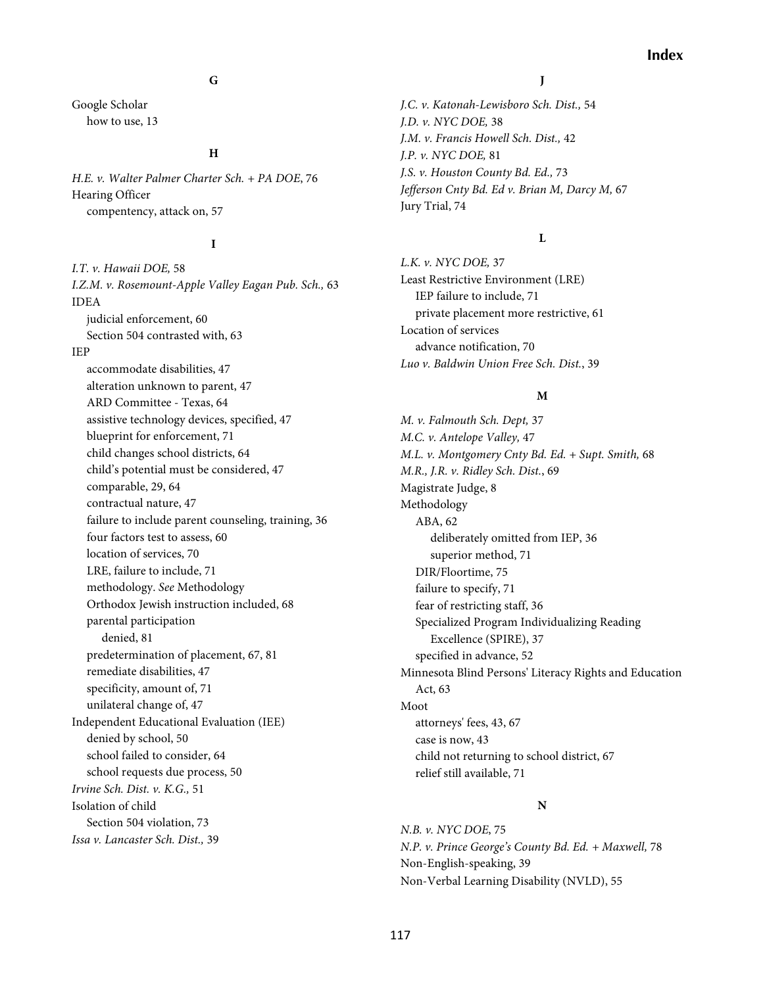### **G**

Google Scholar how to use, 13

#### **H**

*H.E. v. Walter Palmer Charter Sch. + PA DOE*, 76 Hearing Officer compentency, attack on, 57

#### **I**

*I.T. v. Hawaii DOE,* 58 *I.Z.M. v. Rosemount-Apple Valley Eagan Pub. Sch.,* 63 IDEA judicial enforcement, 60 Section 504 contrasted with, 63 IEP accommodate disabilities, 47 alteration unknown to parent, 47 ARD Committee - Texas, 64 assistive technology devices, specified, 47 blueprint for enforcement, 71 child changes school districts, 64 child's potential must be considered, 47 comparable, 29, 64 contractual nature, 47 failure to include parent counseling, training, 36 four factors test to assess, 60 location of services, 70 LRE, failure to include, 71 methodology. *See* Methodology Orthodox Jewish instruction included, 68 parental participation denied, 81 predetermination of placement, 67, 81 remediate disabilities, 47 specificity, amount of, 71 unilateral change of, 47 Independent Educational Evaluation (IEE) denied by school, 50 school failed to consider, 64 school requests due process, 50 *Irvine Sch. Dist. v. K.G.,* 51 Isolation of child Section 504 violation, 73 *Issa v. Lancaster Sch. Dist.,* 39

## **J**

*J.C. v. Katonah-Lewisboro Sch. Dist.,* 54 *J.D. v. NYC DOE,* 38 *J.M. v. Francis Howell Sch. Dist.,* 42 *J.P. v. NYC DOE,* 81 *J.S. v. Houston County Bd. Ed.,* 73 *Jefferson Cnty Bd. Ed v. Brian M, Darcy M,* 67 Jury Trial, 74

#### **L**

*L.K. v. NYC DOE,* 37 Least Restrictive Environment (LRE) IEP failure to include, 71 private placement more restrictive, 61 Location of services advance notification, 70 *Luo v. Baldwin Union Free Sch. Dist.*, 39

#### **M**

*M. v. Falmouth Sch. Dept,* 37 *M.C. v. Antelope Valley,* 47 *M.L. v. Montgomery Cnty Bd. Ed. + Supt. Smith,* 68 *M.R., J.R. v. Ridley Sch. Dist.*, 69 Magistrate Judge, 8 Methodology ABA, 62 deliberately omitted from IEP, 36 superior method, 71 DIR/Floortime, 75 failure to specify, 71 fear of restricting staff, 36 Specialized Program Individualizing Reading Excellence (SPIRE), 37 specified in advance, 52 Minnesota Blind Persons' Literacy Rights and Education Act, 63 Moot attorneys' fees, 43, 67 case is now, 43 child not returning to school district, 67 relief still available, 71

#### **N**

*N.B. v. NYC DOE*, 75 *N.P. v. Prince George's County Bd. Ed. + Maxwell,* 78 Non-English-speaking, 39 Non-Verbal Learning Disability (NVLD), 55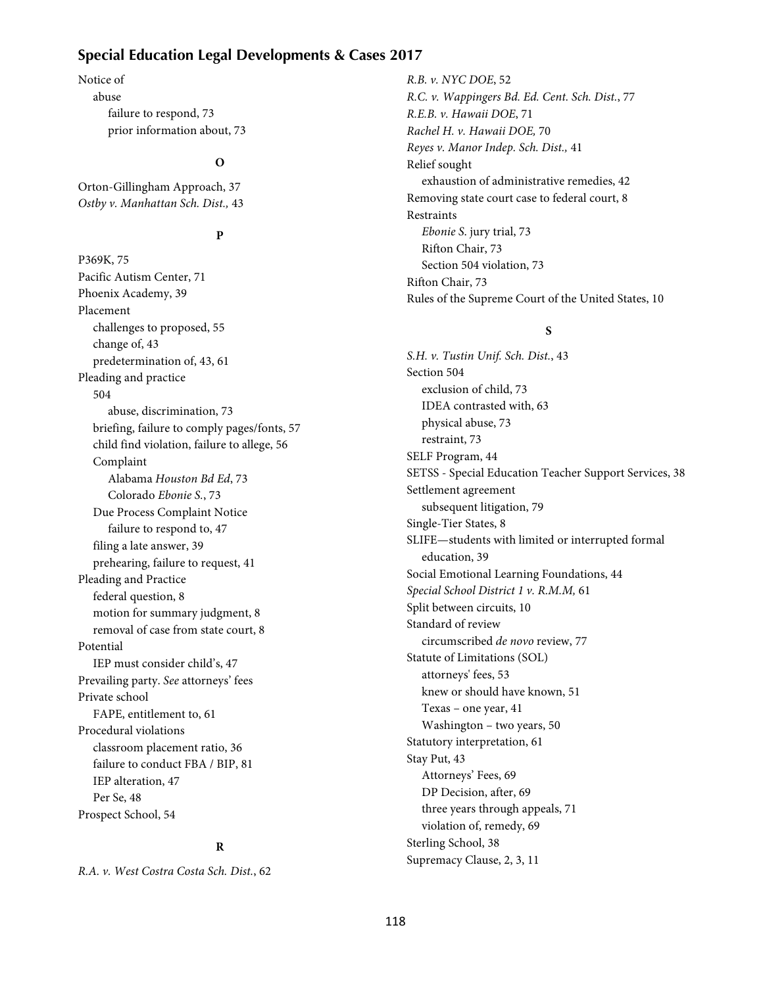# **Special Education Legal Developments & Cases 2017**

Notice of abuse failure to respond, 73 prior information about, 73

#### **O**

Orton-Gillingham Approach, 37 *Ostby v. Manhattan Sch. Dist.,* 43

# **P**

P369K, 75 Pacific Autism Center, 71 Phoenix Academy, 39 Placement challenges to proposed, 55 change of, 43 predetermination of, 43, 61 Pleading and practice 504 abuse, discrimination, 73 briefing, failure to comply pages/fonts, 57 child find violation, failure to allege, 56 Complaint Alabama *Houston Bd Ed*, 73 Colorado *Ebonie S.*, 73 Due Process Complaint Notice failure to respond to, 47 filing a late answer, 39 prehearing, failure to request, 41 Pleading and Practice federal question, 8 motion for summary judgment, 8 removal of case from state court, 8 Potential IEP must consider child's, 47 Prevailing party. *See* attorneys' fees Private school FAPE, entitlement to, 61 Procedural violations classroom placement ratio, 36 failure to conduct FBA / BIP, 81 IEP alteration, 47 Per Se, 48 Prospect School, 54

## **R**

*R.A. v. West Costra Costa Sch. Dist.*, 62

*R.B. v. NYC DOE*, 52 *R.C. v. Wappingers Bd. Ed. Cent. Sch. Dist.*, 77 *R.E.B. v. Hawaii DOE*, 71 *Rachel H. v. Hawaii DOE,* 70 *Reyes v. Manor Indep. Sch. Dist.,* 41 Relief sought exhaustion of administrative remedies, 42 Removing state court case to federal court, 8 **Restraints** *Ebonie S*. jury trial, 73 Rifton Chair, 73 Section 504 violation, 73 Rifton Chair, 73 Rules of the Supreme Court of the United States, 10

#### **S**

*S.H. v. Tustin Unif. Sch. Dist.*, 43 Section 504 exclusion of child, 73 IDEA contrasted with, 63 physical abuse, 73 restraint, 73 SELF Program, 44 SETSS - Special Education Teacher Support Services, 38 Settlement agreement subsequent litigation, 79 Single-Tier States, 8 SLIFE—students with limited or interrupted formal education, 39 Social Emotional Learning Foundations, 44 Special School District 1 v. R.M.M, 61 Split between circuits, 10 Standard of review circumscribed *de novo* review, 77 Statute of Limitations (SOL) attorneys' fees, 53 knew or should have known, 51 Texas – one year, 41 Washington – two years, 50 Statutory interpretation, 61 Stay Put, 43 Attorneys' Fees, 69 DP Decision, after, 69 three years through appeals, 71 violation of, remedy, 69 Sterling School, 38 Supremacy Clause, 2, 3, 11